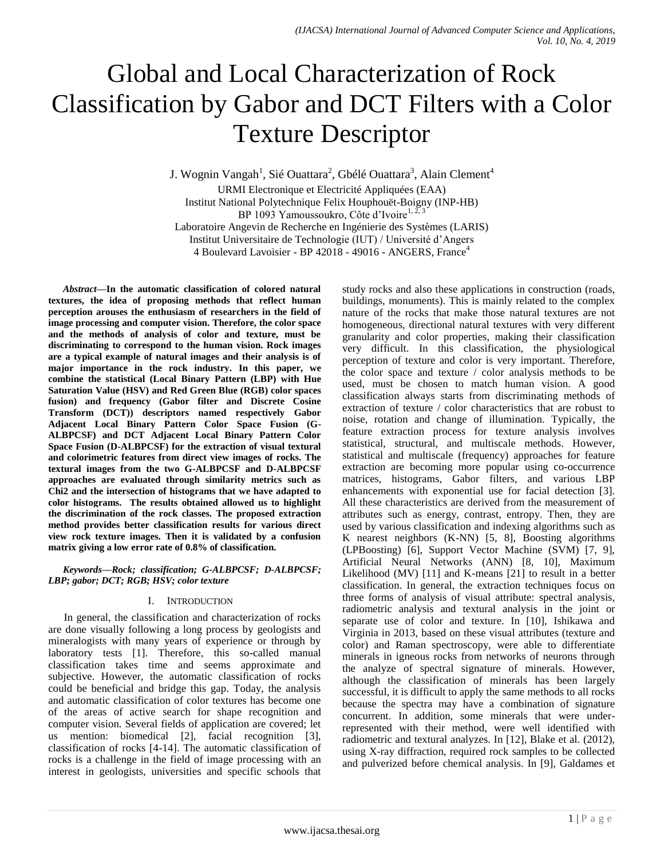# Global and Local Characterization of Rock Classification by Gabor and DCT Filters with a Color Texture Descriptor

J. Wognin Vangah<sup>1</sup>, Sié Ouattara<sup>2</sup>, Gbélé Ouattara<sup>3</sup>, Alain Clement<sup>4</sup>

URMI Electronique et Electricité Appliquées (EAA) Institut National Polytechnique Felix Houphouët-Boigny (INP-HB) BP 1093 Yamoussoukro, Côte d'Ivoire<sup>1, 2, 3</sup> Laboratoire Angevin de Recherche en Ingénierie des Systèmes (LARIS) Institut Universitaire de Technologie (IUT) / Université d"Angers 4 Boulevard Lavoisier - BP 42018 - 49016 - ANGERS, France<sup>4</sup>

*Abstract***—In the automatic classification of colored natural textures, the idea of proposing methods that reflect human perception arouses the enthusiasm of researchers in the field of image processing and computer vision. Therefore, the color space and the methods of analysis of color and texture, must be discriminating to correspond to the human vision. Rock images are a typical example of natural images and their analysis is of major importance in the rock industry. In this paper, we combine the statistical (Local Binary Pattern (LBP) with Hue Saturation Value (HSV) and Red Green Blue (RGB) color spaces fusion) and frequency (Gabor filter and Discrete Cosine Transform (DCT)) descriptors named respectively Gabor Adjacent Local Binary Pattern Color Space Fusion (G-ALBPCSF) and DCT Adjacent Local Binary Pattern Color Space Fusion (D-ALBPCSF) for the extraction of visual textural and colorimetric features from direct view images of rocks. The textural images from the two G-ALBPCSF and D-ALBPCSF approaches are evaluated through similarity metrics such as Chi2 and the intersection of histograms that we have adapted to color histograms. The results obtained allowed us to highlight the discrimination of the rock classes. The proposed extraction method provides better classification results for various direct view rock texture images. Then it is validated by a confusion matrix giving a low error rate of 0.8% of classification.**

#### *Keywords—Rock; classification; G-ALBPCSF; D-ALBPCSF; LBP; gabor; DCT; RGB; HSV; color texture*

# I. INTRODUCTION

In general, the classification and characterization of rocks are done visually following a long process by geologists and mineralogists with many years of experience or through by laboratory tests [1]. Therefore, this so-called manual classification takes time and seems approximate and subjective. However, the automatic classification of rocks could be beneficial and bridge this gap. Today, the analysis and automatic classification of color textures has become one of the areas of active search for shape recognition and computer vision. Several fields of application are covered; let us mention: biomedical [2], facial recognition [3], classification of rocks [4-14]. The automatic classification of rocks is a challenge in the field of image processing with an interest in geologists, universities and specific schools that study rocks and also these applications in construction (roads, buildings, monuments). This is mainly related to the complex nature of the rocks that make those natural textures are not homogeneous, directional natural textures with very different granularity and color properties, making their classification very difficult. In this classification, the physiological perception of texture and color is very important. Therefore, the color space and texture / color analysis methods to be used, must be chosen to match human vision. A good classification always starts from discriminating methods of extraction of texture / color characteristics that are robust to noise, rotation and change of illumination. Typically, the feature extraction process for texture analysis involves statistical, structural, and multiscale methods. However, statistical and multiscale (frequency) approaches for feature extraction are becoming more popular using co-occurrence matrices, histograms, Gabor filters, and various LBP enhancements with exponential use for facial detection [3]. All these characteristics are derived from the measurement of attributes such as energy, contrast, entropy. Then, they are used by various classification and indexing algorithms such as K nearest neighbors (K-NN) [5, 8], Boosting algorithms (LPBoosting) [6], Support Vector Machine (SVM) [7, 9], Artificial Neural Networks (ANN) [8, 10], Maximum Likelihood (MV) [11] and K-means [21] to result in a better classification. In general, the extraction techniques focus on three forms of analysis of visual attribute: spectral analysis, radiometric analysis and textural analysis in the joint or separate use of color and texture. In [10], Ishikawa and Virginia in 2013, based on these visual attributes (texture and color) and Raman spectroscopy, were able to differentiate minerals in igneous rocks from networks of neurons through the analyze of spectral signature of minerals. However, although the classification of minerals has been largely successful, it is difficult to apply the same methods to all rocks because the spectra may have a combination of signature concurrent. In addition, some minerals that were underrepresented with their method, were well identified with radiometric and textural analyzes. In [12], Blake et al. (2012), using X-ray diffraction, required rock samples to be collected and pulverized before chemical analysis. In [9], Galdames et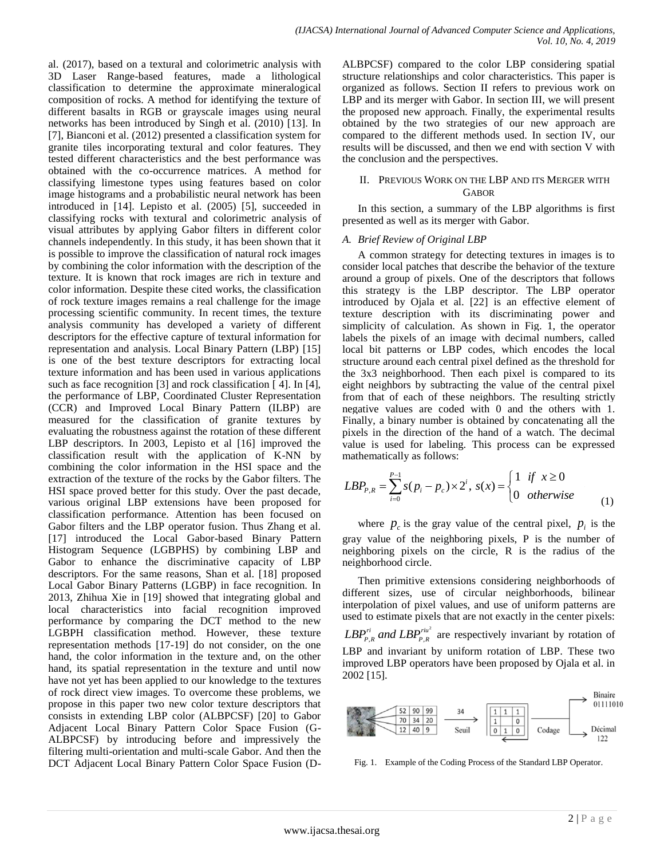al. (2017), based on a textural and colorimetric analysis with 3D Laser Range-based features, made a lithological classification to determine the approximate mineralogical composition of rocks. A method for identifying the texture of different basalts in RGB or grayscale images using neural networks has been introduced by Singh et al. (2010) [13]. In [7], Bianconi et al. (2012) presented a classification system for granite tiles incorporating textural and color features. They tested different characteristics and the best performance was obtained with the co-occurrence matrices. A method for classifying limestone types using features based on color image histograms and a probabilistic neural network has been introduced in [14]. Lepisto et al. (2005) [5], succeeded in classifying rocks with textural and colorimetric analysis of visual attributes by applying Gabor filters in different color channels independently. In this study, it has been shown that it is possible to improve the classification of natural rock images by combining the color information with the description of the texture. It is known that rock images are rich in texture and color information. Despite these cited works, the classification of rock texture images remains a real challenge for the image processing scientific community. In recent times, the texture analysis community has developed a variety of different descriptors for the effective capture of textural information for representation and analysis. Local Binary Pattern (LBP) [15] is one of the best texture descriptors for extracting local texture information and has been used in various applications such as face recognition [3] and rock classification [ 4]. In [4], the performance of LBP, Coordinated Cluster Representation (CCR) and Improved Local Binary Pattern (ILBP) are measured for the classification of granite textures by evaluating the robustness against the rotation of these different LBP descriptors. In 2003, Lepisto et al [16] improved the classification result with the application of K-NN by combining the color information in the HSI space and the extraction of the texture of the rocks by the Gabor filters. The HSI space proved better for this study. Over the past decade, various original LBP extensions have been proposed for classification performance. Attention has been focused on Gabor filters and the LBP operator fusion. Thus Zhang et al. [17] introduced the Local Gabor-based Binary Pattern Histogram Sequence (LGBPHS) by combining LBP and Gabor to enhance the discriminative capacity of LBP descriptors. For the same reasons, Shan et al. [18] proposed Local Gabor Binary Patterns (LGBP) in face recognition. In 2013, Zhihua Xie in [19] showed that integrating global and local characteristics into facial recognition improved performance by comparing the DCT method to the new LGBPH classification method. However, these texture representation methods [17-19] do not consider, on the one hand, the color information in the texture and, on the other hand, its spatial representation in the texture and until now have not yet has been applied to our knowledge to the textures of rock direct view images. To overcome these problems, we propose in this paper two new color texture descriptors that consists in extending LBP color (ALBPCSF) [20] to Gabor Adjacent Local Binary Pattern Color Space Fusion (G-ALBPCSF) by introducing before and impressively the filtering multi-orientation and multi-scale Gabor. And then the DCT Adjacent Local Binary Pattern Color Space Fusion (D-

ALBPCSF) compared to the color LBP considering spatial structure relationships and color characteristics. This paper is organized as follows. Section II refers to previous work on LBP and its merger with Gabor. In section III, we will present the proposed new approach. Finally, the experimental results obtained by the two strategies of our new approach are compared to the different methods used. In section IV, our results will be discussed, and then we end with section V with the conclusion and the perspectives.

# II. PREVIOUS WORK ON THE LBP AND ITS MERGER WITH **GABOR**

In this section, a summary of the LBP algorithms is first presented as well as its merger with Gabor.

# *A. Brief Review of Original LBP*

A common strategy for detecting textures in images is to consider local patches that describe the behavior of the texture around a group of pixels. One of the descriptors that follows this strategy is the LBP descriptor. The LBP operator introduced by Ojala et al. [22] is an effective element of texture description with its discriminating power and simplicity of calculation. As shown in Fig. 1, the operator labels the pixels of an image with decimal numbers, called local bit patterns or LBP codes, which encodes the local structure around each central pixel defined as the threshold for the 3x3 neighborhood. Then each pixel is compared to its eight neighbors by subtracting the value of the central pixel from that of each of these neighbors. The resulting strictly negative values are coded with 0 and the others with 1. Finally, a binary number is obtained by concatenating all the pixels in the direction of the hand of a watch. The decimal value is used for labeling. This process can be expressed mathematically as follows:

mathematically as follows:  
\n
$$
LBP_{P,R} = \sum_{i=0}^{P-1} s(p_i - p_c) \times 2^i, \ s(x) = \begin{cases} 1 & \text{if } x \ge 0 \\ 0 & \text{otherwise} \end{cases}
$$
\n(1)

where  $p_c$  is the gray value of the central pixel,  $p_i$  is the gray value of the neighboring pixels, P is the number of neighboring pixels on the circle, R is the radius of the neighborhood circle.

Then primitive extensions considering neighborhoods of different sizes, use of circular neighborhoods, bilinear interpolation of pixel values, and use of uniform patterns are used to estimate pixels that are not exactly in the center pixels: 2  $LBP_{P,R}^{ri}$  *and*  $LBP_{P,R}^{riu^2}$  are respectively invariant by rotation of LBP and invariant by uniform rotation of LBP. These two improved LBP operators have been proposed by Ojala et al. in 2002 [15].



Fig. 1. Example of the Coding Process of the Standard LBP Operator.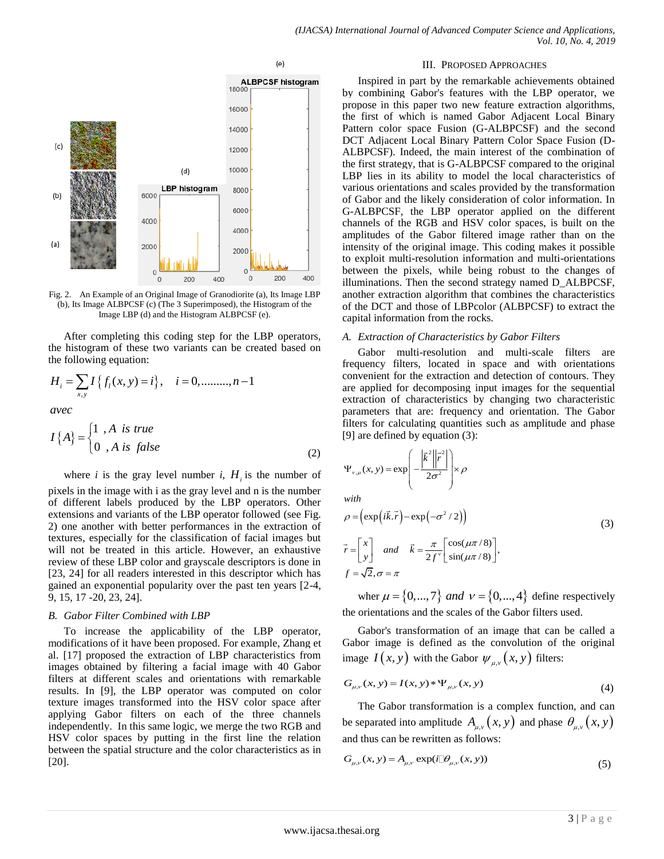

Fig. 2. An Example of an Original Image of Granodiorite (a), Its Image LBP (b), Its Image ALBPCSF (c) (The 3 Superimposed), the Histogram of the Image LBP (d) and the Histogram ALBPCSF (e).

After completing this coding step for the LBP operators, the histogram of these two variants can be created based on

the following equation:  
\n
$$
H_i = \sum_{x,y} I\{f_i(x,y) = i\}, \quad i = 0, \dots, n-1
$$
\n*avec*

$$
a\text{vec}
$$
  

$$
I\{A\} = \begin{cases} 1, & A \text{ is true} \\ 0, & A \text{ is false} \end{cases}
$$
 (2)

where *i* is the gray level number *i*,  $H_i$  is the number of

pixels in the image with i as the gray level and n is the number of different labels produced by the LBP operators. Other extensions and variants of the LBP operator followed (see Fig. 2) one another with better performances in the extraction of textures, especially for the classification of facial images but will not be treated in this article. However, an exhaustive review of these LBP color and grayscale descriptors is done in [23, 24] for all readers interested in this descriptor which has gained an exponential popularity over the past ten years [2-4, 9, 15, 17 -20, 23, 24].

#### *B. Gabor Filter Combined with LBP*

To increase the applicability of the LBP operator, modifications of it have been proposed. For example, Zhang et al. [17] proposed the extraction of LBP characteristics from images obtained by filtering a facial image with 40 Gabor filters at different scales and orientations with remarkable results. In [9], the LBP operator was computed on color texture images transformed into the HSV color space after applying Gabor filters on each of the three channels independently. In this same logic, we merge the two RGB and HSV color spaces by putting in the first line the relation between the spatial structure and the color characteristics as in [20].

#### III. PROPOSED APPROACHES

Inspired in part by the remarkable achievements obtained by combining Gabor's features with the LBP operator, we propose in this paper two new feature extraction algorithms, the first of which is named Gabor Adjacent Local Binary Pattern color space Fusion (G-ALBPCSF) and the second DCT Adjacent Local Binary Pattern Color Space Fusion (D-ALBPCSF). Indeed, the main interest of the combination of the first strategy, that is G-ALBPCSF compared to the original LBP lies in its ability to model the local characteristics of various orientations and scales provided by the transformation of Gabor and the likely consideration of color information. In G-ALBPCSF, the LBP operator applied on the different channels of the RGB and HSV color spaces, is built on the amplitudes of the Gabor filtered image rather than on the intensity of the original image. This coding makes it possible to exploit multi-resolution information and multi-orientations between the pixels, while being robust to the changes of illuminations. Then the second strategy named D\_ALBPCSF, another extraction algorithm that combines the characteristics of the DCT and those of LBPcolor (ALBPCSF) to extract the capital information from the rocks.

#### *A. Extraction of Characteristics by Gabor Filters*

Gabor multi-resolution and multi-scale filters are frequency filters, located in space and with orientations convenient for the extraction and detection of contours. They are applied for decomposing input images for the sequential extraction of characteristics by changing two characteristic parameters that are: frequency and orientation. The Gabor filters for calculating quantities such as amplitude and phase [9] are defined by equation (3):

$$
\Psi_{\nu,\mu}(x, y) = \exp\left(-\frac{\left|\vec{k}^2\right| \vec{r}^2}{2\sigma^2}\right) \times \rho
$$

*with*

with  
\n
$$
\rho = \left(\exp\left(i\vec{k}.\vec{r}\right) - \exp\left(-\sigma^2/2\right)\right)
$$
\n
$$
\vec{r} = \begin{bmatrix} x \\ y \end{bmatrix} \text{ and } \vec{k} = \frac{\pi}{2f^{\nu}} \begin{bmatrix} \cos(\mu \pi/8) \\ \sin(\mu \pi/8) \end{bmatrix},
$$
\n
$$
f = \sqrt{2}, \sigma = \pi
$$
\n(3)

wher  $\mu = \{0, ..., 7\}$  and  $v = \{0, ..., 4\}$  define respectively the orientations and the scales of the Gabor filters used.

Gabor's transformation of an image that can be called a Gabor image is defined as the convolution of the original image  $I(x, y)$  with the Gabor  $\psi_{\mu, v}(x, y)$  filters:

$$
G_{\mu,\nu}(x, y) = I(x, y) * \Psi_{\mu,\nu}(x, y)
$$
\n(4)

The Gabor transformation is a complex function, and can be separated into amplitude  $A_{\mu,\nu}(x, y)$  and phase  $\theta_{\mu,\nu}(x, y)$ 

and thus can be rewritten as follows:  
\n
$$
G_{\mu,\nu}(x, y) = A_{\mu,\nu} \exp(i\mathbb{I}\theta_{\mu,\nu}(x, y))
$$
\n(5)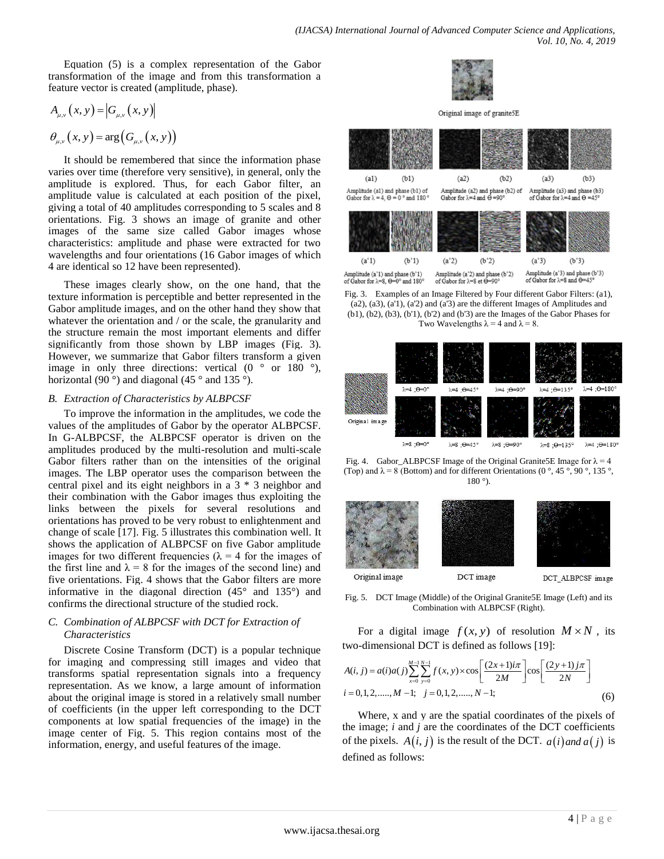Equation (5) is a complex representation of the Gabor transformation of the image and from this transformation a feature vector is created (amplitude, phase).

$$
A_{\mu,\nu}(x, y) = |G_{\mu,\nu}(x, y)|
$$
  

$$
\theta_{\mu,\nu}(x, y) = \arg (G_{\mu,\nu}(x, y))
$$

It should be remembered that since the information phase varies over time (therefore very sensitive), in general, only the amplitude is explored. Thus, for each Gabor filter, an amplitude value is calculated at each position of the pixel, giving a total of 40 amplitudes corresponding to 5 scales and 8 orientations. Fig. 3 shows an image of granite and other images of the same size called Gabor images whose characteristics: amplitude and phase were extracted for two wavelengths and four orientations (16 Gabor images of which 4 are identical so 12 have been represented).

These images clearly show, on the one hand, that the texture information is perceptible and better represented in the Gabor amplitude images, and on the other hand they show that whatever the orientation and / or the scale, the granularity and the structure remain the most important elements and differ significantly from those shown by LBP images (Fig. 3). However, we summarize that Gabor filters transform a given image in only three directions: vertical  $(0 \circ or 180 \circ)$ , horizontal (90 $^{\circ}$ ) and diagonal (45 $^{\circ}$  and 135 $^{\circ}$ ).

## *B. Extraction of Characteristics by ALBPCSF*

To improve the information in the amplitudes, we code the values of the amplitudes of Gabor by the operator ALBPCSF. In G-ALBPCSF, the ALBPCSF operator is driven on the amplitudes produced by the multi-resolution and multi-scale Gabor filters rather than on the intensities of the original images. The LBP operator uses the comparison between the central pixel and its eight neighbors in a 3 \* 3 neighbor and their combination with the Gabor images thus exploiting the links between the pixels for several resolutions and orientations has proved to be very robust to enlightenment and change of scale [17]. Fig. 5 illustrates this combination well. It shows the application of ALBPCSF on five Gabor amplitude images for two different frequencies ( $\lambda = 4$  for the images of the first line and  $\lambda = 8$  for the images of the second line) and five orientations. Fig. 4 shows that the Gabor filters are more informative in the diagonal direction (45° and 135°) and confirms the directional structure of the studied rock.

# *C. Combination of ALBPCSF with DCT for Extraction of Characteristics*

Discrete Cosine Transform (DCT) is a popular technique for imaging and compressing still images and video that transforms spatial representation signals into a frequency representation. As we know, a large amount of information about the original image is stored in a relatively small number of coefficients (in the upper left corresponding to the DCT components at low spatial frequencies of the image) in the image center of Fig. 5. This region contains most of the information, energy, and useful features of the image.



Original image of granite5E



Fig. 3. Examples of an Image Filtered by Four different Gabor Filters: (a1),  $(a2)$ ,  $(a3)$ ,  $(a'1)$ ,  $(a'2)$  and  $(a'3)$  are the different Images of Amplitudes and (b1), (b2), (b3), (b'1), (b'2) and (b'3) are the Images of the Gabor Phases for Two Wavelengths  $\lambda = 4$  and  $\lambda = 8$ .



Fig. 4. Gabor\_ALBPCSF Image of the Original Granite5E Image for  $\lambda = 4$ (Top) and  $\lambda = 8$  (Bottom) and for different Orientations (0 °, 45 °, 90 °, 135 °, 180 °).



Fig. 5. DCT Image (Middle) of the Original Granite5E Image (Left) and its Combination with ALBPCSF (Right).

For a digital image 
$$
f(x, y)
$$
 of resolution  $M \times N$ , its  
two-dimensional DCT is defined as follows [19]:  

$$
A(i, j) = a(i)a(j)\sum_{x=0}^{M-1} \sum_{y=0}^{N-1} f(x, y) \times \cos\left[\frac{(2x+1)i\pi}{2M}\right] \cos\left[\frac{(2y+1)j\pi}{2N}\right]
$$

$$
i = 0, 1, 2, \dots, M-1; \quad j = 0, 1, 2, \dots, N-1;
$$
(6)

Where, x and y are the spatial coordinates of the pixels of the image; *i* and *j* are the coordinates of the DCT coefficients of the pixels.  $A(i, j)$  is the result of the DCT.  $a(i)$  and  $a(j)$  is defined as follows: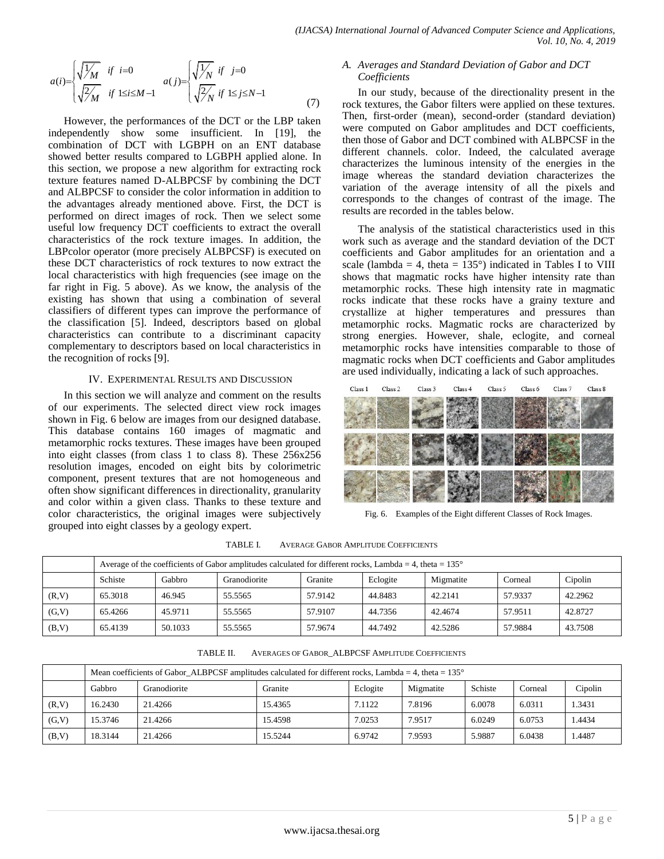$$
a(i) = \begin{cases} \sqrt{\frac{1}{M}} & \text{if } i = 0\\ \sqrt{\frac{2}{M}} & \text{if } 1 \le i \le M - 1 \end{cases} \quad a(j) = \begin{cases} \sqrt{\frac{1}{N}} & \text{if } j = 0\\ \sqrt{\frac{2}{N}} & \text{if } 1 \le j \le N - 1 \end{cases} \tag{7}
$$

However, the performances of the DCT or the LBP taken independently show some insufficient. In [19], the combination of DCT with LGBPH on an ENT database showed better results compared to LGBPH applied alone. In this section, we propose a new algorithm for extracting rock texture features named D-ALBPCSF by combining the DCT and ALBPCSF to consider the color information in addition to the advantages already mentioned above. First, the DCT is performed on direct images of rock. Then we select some useful low frequency DCT coefficients to extract the overall characteristics of the rock texture images. In addition, the LBPcolor operator (more precisely ALBPCSF) is executed on these DCT characteristics of rock textures to now extract the local characteristics with high frequencies (see image on the far right in Fig. 5 above). As we know, the analysis of the existing has shown that using a combination of several classifiers of different types can improve the performance of the classification [5]. Indeed, descriptors based on global characteristics can contribute to a discriminant capacity complementary to descriptors based on local characteristics in the recognition of rocks [9].

## IV. EXPERIMENTAL RESULTS AND DISCUSSION

In this section we will analyze and comment on the results of our experiments. The selected direct view rock images shown in Fig. 6 below are images from our designed database. This database contains 160 images of magmatic and metamorphic rocks textures. These images have been grouped into eight classes (from class 1 to class 8). These 256x256 resolution images, encoded on eight bits by colorimetric component, present textures that are not homogeneous and often show significant differences in directionality, granularity and color within a given class. Thanks to these texture and color characteristics, the original images were subjectively grouped into eight classes by a geology expert.

### *A. Averages and Standard Deviation of Gabor and DCT Coefficients*

In our study, because of the directionality present in the rock textures, the Gabor filters were applied on these textures. Then, first-order (mean), second-order (standard deviation) were computed on Gabor amplitudes and DCT coefficients, then those of Gabor and DCT combined with ALBPCSF in the different channels. color. Indeed, the calculated average characterizes the luminous intensity of the energies in the image whereas the standard deviation characterizes the variation of the average intensity of all the pixels and corresponds to the changes of contrast of the image. The results are recorded in the tables below.

The analysis of the statistical characteristics used in this work such as average and the standard deviation of the DCT coefficients and Gabor amplitudes for an orientation and a scale (lambda = 4, theta =  $135^{\circ}$ ) indicated in Tables I to VIII shows that magmatic rocks have higher intensity rate than metamorphic rocks. These high intensity rate in magmatic rocks indicate that these rocks have a grainy texture and crystallize at higher temperatures and pressures than metamorphic rocks. Magmatic rocks are characterized by strong energies. However, shale, eclogite, and corneal metamorphic rocks have intensities comparable to those of magmatic rocks when DCT coefficients and Gabor amplitudes are used individually, indicating a lack of such approaches.



Fig. 6. Examples of the Eight different Classes of Rock Images.

|        |                                                                                             | Average of the coefficients of Gabor amplitudes calculated for different rocks, Lambda = 4, theta = $135^{\circ}$ |         |         |         |         |         |         |  |  |  |  |
|--------|---------------------------------------------------------------------------------------------|-------------------------------------------------------------------------------------------------------------------|---------|---------|---------|---------|---------|---------|--|--|--|--|
|        | Granite<br>Cipolin<br>Schiste<br>Gabbro<br>Eclogite<br>Migmatite<br>Granodiorite<br>Corneal |                                                                                                                   |         |         |         |         |         |         |  |  |  |  |
| (R, V) | 65.3018                                                                                     | 46.945                                                                                                            | 55.5565 | 57.9142 | 44.8483 | 42.2141 | 57.9337 | 42.2962 |  |  |  |  |
| (G, V) | 65.4266                                                                                     | 45.9711                                                                                                           | 55.5565 | 57.9107 | 44.7356 | 42.4674 | 57.9511 | 42.8727 |  |  |  |  |
| (B,V)  | 65.4139                                                                                     | 50.1033                                                                                                           | 55.5565 | 57.9674 | 44.7492 | 42.5286 | 57.9884 | 43.7508 |  |  |  |  |

TABLE I. AVERAGE GABOR AMPLITUDE COEFFICIENTS

TABLE II. AVERAGES OF GABOR\_ALBPCSF AMPLITUDE COEFFICIENTS

|        |                                                                                             | Mean coefficients of Gabor ALBPCSF amplitudes calculated for different rocks, Lambda = 4, theta = $135^{\circ}$ |         |        |        |        |        |        |  |  |  |  |
|--------|---------------------------------------------------------------------------------------------|-----------------------------------------------------------------------------------------------------------------|---------|--------|--------|--------|--------|--------|--|--|--|--|
|        | Schiste<br>Gabbro<br>Eclogite<br>Cipolin<br>Granite<br>Granodiorite<br>Migmatite<br>Corneal |                                                                                                                 |         |        |        |        |        |        |  |  |  |  |
| (R, V) | 16.2430                                                                                     | 21.4266                                                                                                         | 15.4365 | 7.1122 | 7.8196 | 6.0078 | 6.0311 | 1.3431 |  |  |  |  |
| (G, V) | 15.3746                                                                                     | 21.4266                                                                                                         | 15.4598 | 7.0253 | 7.9517 | 6.0249 | 6.0753 | .4434  |  |  |  |  |
| (B,V)  | 18.3144                                                                                     | 21.4266                                                                                                         | 15.5244 | 6.9742 | 7.9593 | 5.9887 | 6.0438 | .4487  |  |  |  |  |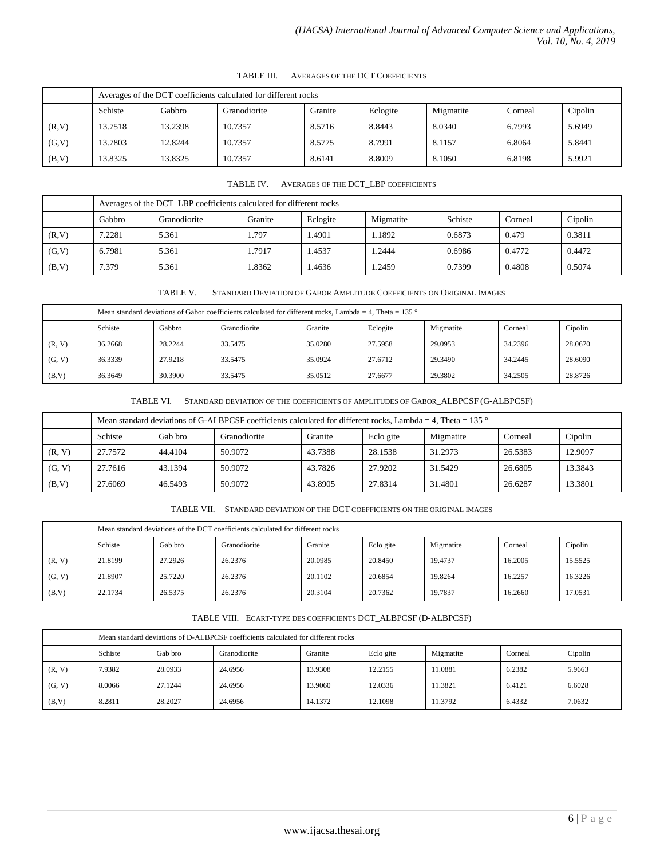|        | Averages of the DCT coefficients calculated for different rocks                             |         |         |        |        |        |        |        |  |  |  |
|--------|---------------------------------------------------------------------------------------------|---------|---------|--------|--------|--------|--------|--------|--|--|--|
|        | Schiste<br>Cipolin<br>Gabbro<br>Granite<br>Eclogite<br>Migmatite<br>Granodiorite<br>Corneal |         |         |        |        |        |        |        |  |  |  |
| (R, V) | 13.7518                                                                                     | 13.2398 | 10.7357 | 8.5716 | 8.8443 | 8.0340 | 6.7993 | 5.6949 |  |  |  |
| (G, V) | 13.7803                                                                                     | 12.8244 | 10.7357 | 8.5775 | 8.7991 | 8.1157 | 6.8064 | 5.8441 |  |  |  |
| (B,V)  | 13.8325                                                                                     | 13.8325 | 10.7357 | 8.6141 | 8.8009 | 8.1050 | 6.8198 | 5.9921 |  |  |  |

# TABLE III. AVERAGES OF THE DCT COEFFICIENTS

|        | Averages of the DCT LBP coefficients calculated for different rocks                         |       |        |       |        |        |        |        |  |  |  |
|--------|---------------------------------------------------------------------------------------------|-------|--------|-------|--------|--------|--------|--------|--|--|--|
|        | Cipolin<br>Schiste<br>Eclogite<br>Gabbro<br>Granodiorite<br>Granite<br>Migmatite<br>Corneal |       |        |       |        |        |        |        |  |  |  |
| (R, V) | 7.2281                                                                                      | 5.361 | . 797  | .4901 | 1.1892 | 0.6873 | 0.479  | 0.3811 |  |  |  |
| (G, V) | 6.7981                                                                                      | 5.361 | 1.7917 | .4537 | 1.2444 | 0.6986 | 0.4772 | 0.4472 |  |  |  |
| (B,V)  | 7.379                                                                                       | 5.361 | 1.8362 | .4636 | 1.2459 | 0.7399 | 0.4808 | 0.5074 |  |  |  |

TABLE V. STANDARD DEVIATION OF GABOR AMPLITUDE COEFFICIENTS ON ORIGINAL IMAGES

|        | Mean standard deviations of Gabor coefficients calculated for different rocks, Lambda = 4. Theta = 135 $\degree$ |         |         |         |         |         |         |         |  |  |  |
|--------|------------------------------------------------------------------------------------------------------------------|---------|---------|---------|---------|---------|---------|---------|--|--|--|
|        | Schiste<br>Cipolin<br>Gabbro<br>Eclogite<br>Granite<br>Migmatite<br>Granodiorite<br>Corneal                      |         |         |         |         |         |         |         |  |  |  |
| (R, V) | 36.2668                                                                                                          | 28.2244 | 33.5475 | 35.0280 | 27.5958 | 29.0953 | 34.2396 | 28.0670 |  |  |  |
| (G, V) | 36.3339                                                                                                          | 27.9218 | 33.5475 | 35.0924 | 27.6712 | 29.3490 | 34.2445 | 28.6090 |  |  |  |
| (B,V)  | 29.3802<br>34.2505<br>30.3900<br>33.5475<br>35.0512<br>28.8726<br>36.3649<br>27.6677                             |         |         |         |         |         |         |         |  |  |  |

#### TABLE VI. STANDARD DEVIATION OF THE COEFFICIENTS OF AMPLITUDES OF GABOR\_ALBPCSF (G-ALBPCSF)

|        | Mean standard deviations of G-ALBPCSF coefficients calculated for different rocks, Lambda = 4, Theta = 135 $\degree$ |         |         |         |         |         |         |         |  |  |  |
|--------|----------------------------------------------------------------------------------------------------------------------|---------|---------|---------|---------|---------|---------|---------|--|--|--|
|        | Schiste<br>Gab bro<br>Granodiorite<br>Granite<br>Cipolin<br>Eclo gite<br>Migmatite<br>Corneal                        |         |         |         |         |         |         |         |  |  |  |
| (R, V) | 27.7572                                                                                                              | 44.4104 | 50.9072 | 43.7388 | 28.1538 | 31.2973 | 26.5383 | 12.9097 |  |  |  |
| (G, V) | 27.7616                                                                                                              | 43.1394 | 50.9072 | 43.7826 | 27.9202 | 31.5429 | 26.6805 | 13.3843 |  |  |  |
| (B,V)  | 27.6069                                                                                                              | 46.5493 | 50.9072 | 43.8905 | 27.8314 | 31.4801 | 26.6287 | 13.3801 |  |  |  |

TABLE VII. STANDARD DEVIATION OF THE DCT COEFFICIENTS ON THE ORIGINAL IMAGES

|        | Mean standard deviations of the DCT coefficients calculated for different rocks               |         |         |         |         |         |         |         |  |  |  |
|--------|-----------------------------------------------------------------------------------------------|---------|---------|---------|---------|---------|---------|---------|--|--|--|
|        | Cipolin<br>Schiste<br>Eclo gite<br>Gab bro<br>Granite<br>Migmatite<br>Granodiorite<br>Corneal |         |         |         |         |         |         |         |  |  |  |
| (R, V) | 21.8199                                                                                       | 27.2926 | 26.2376 | 20.0985 | 20.8450 | 19.4737 | 16.2005 | 15.5525 |  |  |  |
| (G, V) | 21.8907                                                                                       | 25,7220 | 26.2376 | 20.1102 | 20.6854 | 19.8264 | 16.2257 | 16.3226 |  |  |  |
| (B, V) | 22.1734                                                                                       | 26.5375 | 26.2376 | 20.3104 | 20.7362 | 19.7837 | 16.2660 | 17.0531 |  |  |  |

#### TABLE VIII. ECART-TYPE DES COEFFICIENTS DCT\_ALBPCSF (D-ALBPCSF)

|        | Mean standard deviations of D-ALBPCSF coefficients calculated for different rocks             |         |         |         |         |         |        |        |  |  |  |
|--------|-----------------------------------------------------------------------------------------------|---------|---------|---------|---------|---------|--------|--------|--|--|--|
|        | Schiste<br>Eclo gite<br>Cipolin<br>Gab bro<br>Migmatite<br>Granodiorite<br>Corneal<br>Granite |         |         |         |         |         |        |        |  |  |  |
| (R, V) | 7.9382                                                                                        | 28.0933 | 24.6956 | 13.9308 | 12.2155 | 11.0881 | 6.2382 | 5.9663 |  |  |  |
| (G, V) | 8.0066                                                                                        | 27.1244 | 24.6956 | 13.9060 | 12.0336 | 11.3821 | 6.4121 | 6.6028 |  |  |  |
| (B,V)  | 8.2811                                                                                        | 28.2027 | 24.6956 | 14.1372 | 12.1098 | 11.3792 | 6.4332 | 7.0632 |  |  |  |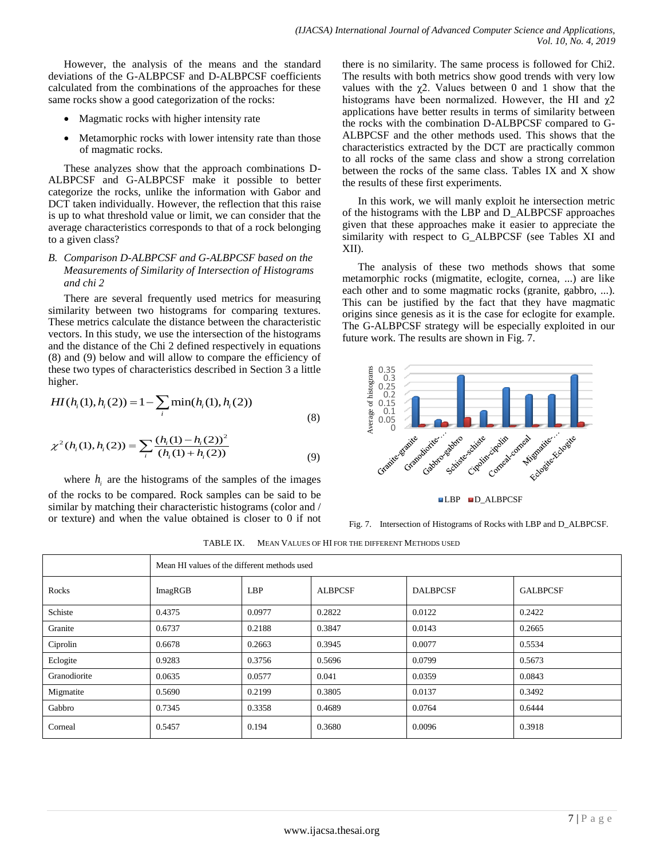However, the analysis of the means and the standard deviations of the G-ALBPCSF and D-ALBPCSF coefficients calculated from the combinations of the approaches for these same rocks show a good categorization of the rocks:

- Magmatic rocks with higher intensity rate
- Metamorphic rocks with lower intensity rate than those of magmatic rocks.

These analyzes show that the approach combinations D-ALBPCSF and G-ALBPCSF make it possible to better categorize the rocks, unlike the information with Gabor and DCT taken individually. However, the reflection that this raise is up to what threshold value or limit, we can consider that the average characteristics corresponds to that of a rock belonging to a given class?

# *B. Comparison D-ALBPCSF and G-ALBPCSF based on the Measurements of Similarity of Intersection of Histograms and chi 2*

There are several frequently used metrics for measuring similarity between two histograms for comparing textures. These metrics calculate the distance between the characteristic vectors. In this study, we use the intersection of the histograms and the distance of the Chi 2 defined respectively in equations (8) and (9) below and will allow to compare the efficiency of these two types of characteristics described in Section 3 a little higher.

higher.  
\n
$$
HI(h_i(1), h_i(2)) = 1 - \sum_i \min(h_i(1), h_i(2))
$$
\n(8)

(8)  
\n
$$
\chi^{2}(h_{i}(1), h_{i}(2)) = \sum_{i} \frac{(h_{i}(1) - h_{i}(2))^{2}}{(h_{i}(1) + h_{i}(2))}
$$
\n(9)

where  $h_i$  are the histograms of the samples of the images of the rocks to be compared. Rock samples can be said to be similar by matching their characteristic histograms (color and / or texture) and when the value obtained is closer to 0 if not

there is no similarity. The same process is followed for Chi2. The results with both metrics show good trends with very low values with the  $\chi$ 2. Values between 0 and 1 show that the histograms have been normalized. However, the HI and  $\gamma$ 2 applications have better results in terms of similarity between the rocks with the combination D-ALBPCSF compared to G-ALBPCSF and the other methods used. This shows that the characteristics extracted by the DCT are practically common to all rocks of the same class and show a strong correlation between the rocks of the same class. Tables IX and X show the results of these first experiments.

In this work, we will manly exploit he intersection metric of the histograms with the LBP and D\_ALBPCSF approaches given that these approaches make it easier to appreciate the similarity with respect to G\_ALBPCSF (see Tables XI and XII).

The analysis of these two methods shows that some metamorphic rocks (migmatite, eclogite, cornea, ...) are like each other and to some magmatic rocks (granite, gabbro, ...). This can be justified by the fact that they have magmatic origins since genesis as it is the case for eclogite for example. The G-ALBPCSF strategy will be especially exploited in our future work. The results are shown in Fig. 7.



Fig. 7. Intersection of Histograms of Rocks with LBP and D\_ALBPCSF.

TABLE IX. MEAN VALUES OF HI FOR THE DIFFERENT METHODS USED

|              |         | Mean HI values of the different methods used |                |                 |                 |  |  |  |  |  |
|--------------|---------|----------------------------------------------|----------------|-----------------|-----------------|--|--|--|--|--|
| Rocks        | ImagRGB | <b>LBP</b>                                   | <b>ALBPCSF</b> | <b>DALBPCSF</b> | <b>GALBPCSF</b> |  |  |  |  |  |
| Schiste      | 0.4375  | 0.0977                                       | 0.2822         | 0.0122          | 0.2422          |  |  |  |  |  |
| Granite      | 0.6737  | 0.2188                                       | 0.3847         | 0.0143          | 0.2665          |  |  |  |  |  |
| Ciprolin     | 0.6678  | 0.2663                                       | 0.3945         | 0.0077          | 0.5534          |  |  |  |  |  |
| Eclogite     | 0.9283  | 0.3756                                       | 0.5696         | 0.0799          | 0.5673          |  |  |  |  |  |
| Granodiorite | 0.0635  | 0.0577                                       | 0.041          | 0.0359          | 0.0843          |  |  |  |  |  |
| Migmatite    | 0.5690  | 0.2199                                       | 0.3805         | 0.0137          | 0.3492          |  |  |  |  |  |
| Gabbro       | 0.7345  | 0.3358                                       | 0.4689         | 0.0764          | 0.6444          |  |  |  |  |  |
| Corneal      | 0.5457  | 0.194                                        | 0.3680         | 0.0096          | 0.3918          |  |  |  |  |  |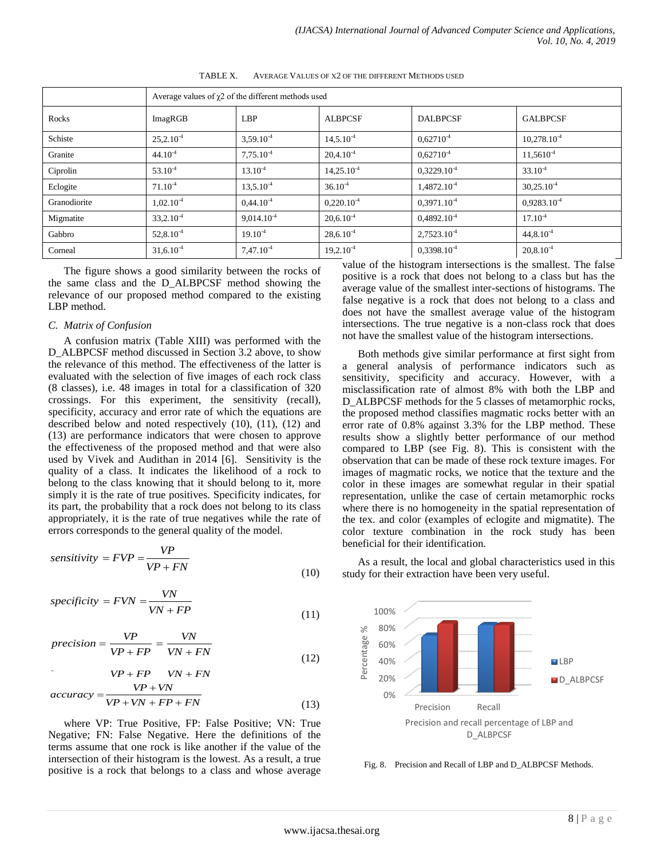|              | Average values of $\chi$ 2 of the different methods used |                 |                 |                  |                 |
|--------------|----------------------------------------------------------|-----------------|-----------------|------------------|-----------------|
| Rocks        | ImagRGB                                                  | <b>LBP</b>      | <b>ALBPCSF</b>  | <b>DALBPCSF</b>  | <b>GALBPCSF</b> |
| Schiste      | $25,2.10^{-4}$                                           | $3,59.10^{4}$   | $14,5.10^{-4}$  | $0.62710^{4}$    | $10,278.10-4$   |
| Granite      | $44.10^{4}$                                              | $7,75.10^{4}$   | $20,4.10^{-4}$  | $0,62710^{4}$    | $11,5610^4$     |
| Ciprolin     | $53.10^{4}$                                              | $13.10^{-4}$    | $14,25.10^{-4}$ | $0,3229.10-4$    | $33.10^{-4}$    |
| Eclogite     | $71.10^{-4}$                                             | $13.5.10^{-4}$  | $36.10^{-4}$    | $1.4872.10-4$    | $30,25.10^{-4}$ |
| Granodiorite | $1,02.10^{-4}$                                           | $0,44.10^{-4}$  | $0,220.10^{-4}$ | $0.3971.10^{-4}$ | $0,9283.10-4$   |
| Migmatite    | $33,2.10^{4}$                                            | $9,014.10^{-4}$ | $20,6.10^{-4}$  | $0,4892.10-4$    | $17.10^{-4}$    |
| Gabbro       | $52,8.10^4$                                              | $19.10^{-4}$    | $28,6.10^{-4}$  | $2,7523.10-4$    | $44,8.10^{-4}$  |
| Corneal      | $31,6.10^4$                                              | $7,47.10^{4}$   | $19,2.10^{-4}$  | $0,3398.10-4$    | $20,8.10^{-4}$  |

TABLE X. AVERAGE VALUES OF Χ2 OF THE DIFFERENT METHODS USED

The figure shows a good similarity between the rocks of the same class and the D\_ALBPCSF method showing the relevance of our proposed method compared to the existing LBP method.

#### *C. Matrix of Confusion*

A confusion matrix (Table XIII) was performed with the D\_ALBPCSF method discussed in Section 3.2 above, to show the relevance of this method. The effectiveness of the latter is evaluated with the selection of five images of each rock class (8 classes), i.e. 48 images in total for a classification of 320 crossings. For this experiment, the sensitivity (recall), specificity, accuracy and error rate of which the equations are described below and noted respectively (10), (11), (12) and (13) are performance indicators that were chosen to approve the effectiveness of the proposed method and that were also used by Vivek and Audithan in 2014 [6]. Sensitivity is the quality of a class. It indicates the likelihood of a rock to belong to the class knowing that it should belong to it, more simply it is the rate of true positives. Specificity indicates, for its part, the probability that a rock does not belong to its class appropriately, it is the rate of true negatives while the rate of errors corresponds to the general quality of the model.

$$
sensitivity = FVP = \frac{VP}{VP + FN}
$$
\n(10)

$$
v + F_N
$$
\n
$$
specificity = FVN = \frac{VN}{VN + FP}
$$
\n
$$
(10)
$$
\n
$$
V = \frac{VN}{VN + FP}
$$
\n
$$
(11)
$$

$$
specijity = FVN - VN + FP
$$
\n
$$
precision = \frac{VP}{VP + FP} = \frac{VN}{VN + FN}
$$
\n
$$
VP + FP = VN + FN
$$
\n
$$
(12)
$$

$$
VP + FP \quad VN + FN
$$
  
-
$$
VP + FP \quad VN + FN
$$
  

$$
accuracy = \frac{VP + VN}{P}
$$
 (12)

$$
accuracy = \frac{VP + VN}{VP + VN + FP + FN}
$$
\n(13)

where VP: True Positive, FP: False Positive; VN: True Negative; FN: False Negative. Here the definitions of the terms assume that one rock is like another if the value of the intersection of their histogram is the lowest. As a result, a true positive is a rock that belongs to a class and whose average value of the histogram intersections is the smallest. The false positive is a rock that does not belong to a class but has the average value of the smallest inter-sections of histograms. The false negative is a rock that does not belong to a class and does not have the smallest average value of the histogram intersections. The true negative is a non-class rock that does not have the smallest value of the histogram intersections.

Both methods give similar performance at first sight from a general analysis of performance indicators such as sensitivity, specificity and accuracy. However, with a misclassification rate of almost 8% with both the LBP and D\_ALBPCSF methods for the 5 classes of metamorphic rocks, the proposed method classifies magmatic rocks better with an error rate of 0.8% against 3.3% for the LBP method. These results show a slightly better performance of our method compared to LBP (see Fig. 8). This is consistent with the observation that can be made of these rock texture images. For images of magmatic rocks, we notice that the texture and the color in these images are somewhat regular in their spatial representation, unlike the case of certain metamorphic rocks where there is no homogeneity in the spatial representation of the tex. and color (examples of eclogite and migmatite). The color texture combination in the rock study has been beneficial for their identification.

As a result, the local and global characteristics used in this study for their extraction have been very useful.



Fig. 8. Precision and Recall of LBP and D\_ALBPCSF Methods.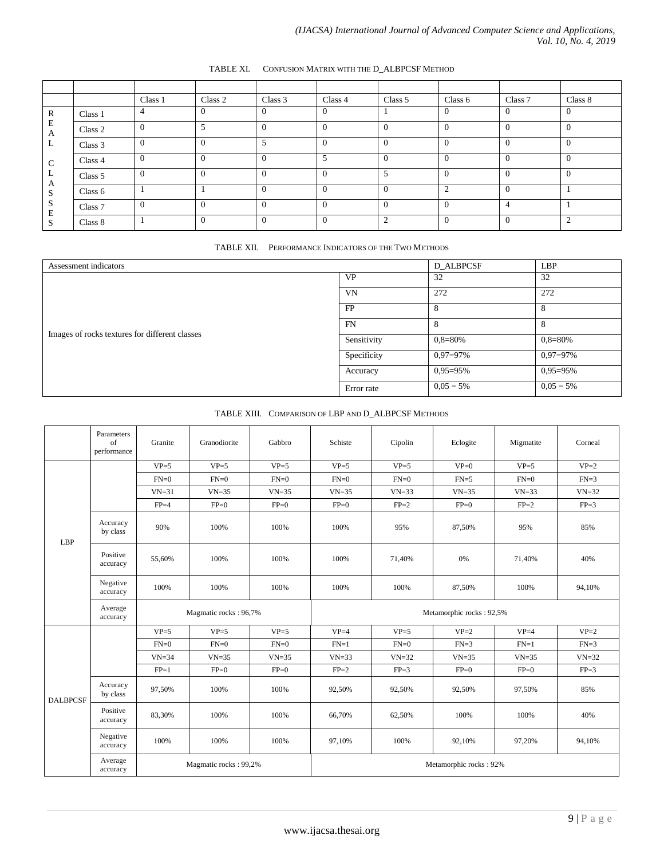|                   |         | Class 1      | Class 2  | Class 3  | Class 4  | Class 5        | Class 6  | Class 7        | Class 8        |
|-------------------|---------|--------------|----------|----------|----------|----------------|----------|----------------|----------------|
| R                 | Class 1 | 4            |          | $\Omega$ | $\Omega$ |                | $\theta$ | $\overline{0}$ | $\overline{0}$ |
| E<br>A            | Class 2 | $\Omega$     | 5        | $\Omega$ | $\Omega$ | $\Omega$       | $\Omega$ | $\Omega$       | $\Omega$       |
| ┶                 | Class 3 | $\Omega$     |          | 5        | $\Omega$ | $\Omega$       | $\theta$ | $\Omega$       | $\Omega$       |
| C                 | Class 4 | $\mathbf{0}$ | $\Omega$ | $\Omega$ | 5        | $\Omega$       | $\Omega$ | $\Omega$       | $\Omega$       |
| ┶                 | Class 5 | $\Omega$     |          | $\Omega$ | $\Omega$ | 5              | $\Omega$ | $\Omega$       | $\theta$       |
| А<br>$\sim$<br>C. | Class 6 |              |          | $\Omega$ | $\Omega$ | $\Omega$       | 2        | $\Omega$       |                |
| Ő<br>E            | Class 7 | $\Omega$     | $\Omega$ | $\Omega$ | $\Omega$ | $\Omega$       | $\theta$ | $\overline{4}$ |                |
|                   | Class 8 |              |          | $\Omega$ | $\Omega$ | $\overline{2}$ | $\Omega$ | $\Omega$       | $\overline{2}$ |

# TABLE XI. CONFUSION MATRIX WITH THE D\_ALBPCSF METHOD

TABLE XII. PERFORMANCE INDICATORS OF THE TWO METHODS

| Assessment indicators                          | D ALBPCSF   | <b>LBP</b>    |               |
|------------------------------------------------|-------------|---------------|---------------|
|                                                | <b>VP</b>   | 32            | 32            |
|                                                | VN          | 272           | 272           |
|                                                | FP          | 8             | 8             |
|                                                | FN          | 8             | 8             |
| Images of rocks textures for different classes | Sensitivity | $0.8 = 80\%$  | $0.8 = 80\%$  |
|                                                | Specificity | $0.97 = 97\%$ | $0.97 = 97\%$ |
|                                                | Accuracy    | $0.95 = 95\%$ | $0.95 = 95%$  |
|                                                | Error rate  | $0.05 = 5\%$  | $0.05 = 5\%$  |

# TABLE XIII. COMPARISON OF LBP AND D\_ALBPCSF METHODS

|                 | Parameters<br>of<br>performance | Granite               | Granodiorite | Gabbro                 | Schiste                  | Cipolin   | Eclogite  | Migmatite | Corneal   |
|-----------------|---------------------------------|-----------------------|--------------|------------------------|--------------------------|-----------|-----------|-----------|-----------|
| LBP             |                                 | $VP = 5$              | $VP = 5$     | $VP = 5$               | $VP = 5$                 | $VP = 5$  | $VP=0$    | $VP = 5$  | $VP=2$    |
|                 |                                 | $FN=0$                | $FN=0$       | $FN=0$                 | $FN=0$                   | $FN=0$    | $FN=5$    | $FN=0$    | $FN=3$    |
|                 |                                 | $VN = 31$             | $VN = 35$    | $VN = 35$              | $VN = 35$                | $VN = 33$ | $VN = 35$ | $VN = 33$ | $VN = 32$ |
|                 |                                 | $FP=4$                | $FP=0$       | $FP=0$                 | $FP=0$                   | $FP=2$    | $FP=0$    | $FP=2$    | $FP=3$    |
|                 | Accuracy<br>by class            | 90%                   | 100%         | 100%                   | 100%                     | 95%       | 87,50%    | 95%       | 85%       |
|                 | Positive<br>accuracy            | 55,60%                | 100%         | 100%                   | 100%                     | 71,40%    | 0%        | 71,40%    | 40%       |
|                 | Negative<br>accuracy            | 100%                  | 100%         | 100%                   | 100%                     | 100%      | 87,50%    | 100%      | 94,10%    |
|                 | Average<br>accuracy             | Magmatic rocks: 96,7% |              |                        | Metamorphic rocks: 92,5% |           |           |           |           |
| <b>DALBPCSF</b> |                                 | $VP = 5$              | $VP = 5$     | $VP = 5$               | $VP = 4$                 | $VP = 5$  | $VP=2$    | $VP = 4$  | $VP=2$    |
|                 |                                 | $FN=0$                | $FN=0$       | $FN=0$                 | $FN=1$                   | $FN=0$    | $FN=3$    | $FN=1$    | $FN=3$    |
|                 |                                 | $VN = 34$             | $VN = 35$    | $VN = 35$              | $VN = 33$                | $VN = 32$ | $VN = 35$ | $VN = 35$ | $VN = 32$ |
|                 |                                 | $FP=1$                | $FP=0$       | $FP=0$                 | $FP=2$                   | $FP=3$    | $FP=0$    | $FP=0$    | $FP=3$    |
|                 | Accuracy<br>by class            | 97,50%                | 100%         | 100%                   | 92,50%                   | 92,50%    | 92,50%    | 97,50%    | 85%       |
|                 | Positive<br>accuracy            | 83,30%                | 100%         | 100%                   | 66,70%                   | 62,50%    | 100%      | 100%      | 40%       |
|                 | Negative<br>accuracy            | 100%                  | 100%         | 100%                   | 97.10%                   | 100%      | 92,10%    | 97,20%    | 94,10%    |
|                 | Average<br>accuracy             | Magmatic rocks: 99,2% |              | Metamorphic rocks: 92% |                          |           |           |           |           |